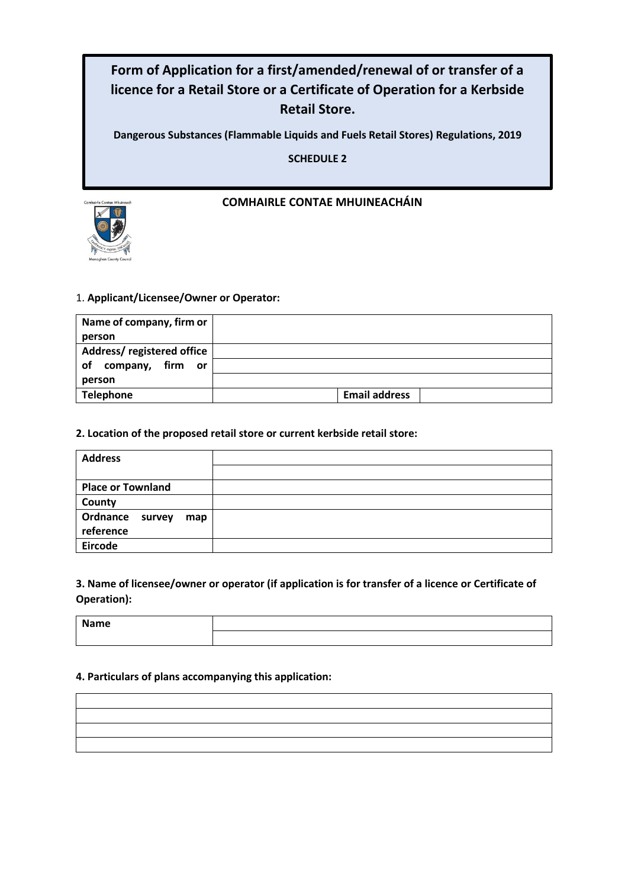# **Form of Application for a first/amended/renewal of or transfer of a licence for a Retail Store or a Certificate of Operation for a Kerbside Retail Store.**

**Dangerous Substances (Flammable Liquids and Fuels Retail Stores) Regulations, 2019**

**SCHEDULE 2**



# **COMHAIRLE CONTAE MHUINEACHÁIN**

# 1. **Applicant/Licensee/Owner or Operator:**

| Name of company, firm or                     |                      |  |
|----------------------------------------------|----------------------|--|
| person                                       |                      |  |
| Address/registered office                    |                      |  |
| firm<br>company,<br><b>of</b><br>or <b>o</b> |                      |  |
| person                                       |                      |  |
| <b>Telephone</b>                             | <b>Email address</b> |  |

### **2. Location of the proposed retail store or current kerbside retail store:**

| <b>Address</b>           |  |
|--------------------------|--|
|                          |  |
| <b>Place or Townland</b> |  |
| County                   |  |
| Ordnance survey<br>map   |  |
| reference                |  |
| <b>Eircode</b>           |  |

# **3. Name of licensee/owner or operator (if application is for transfer of a licence or Certificate of Operation):**

**Name**

# **4. Particulars of plans accompanying this application:**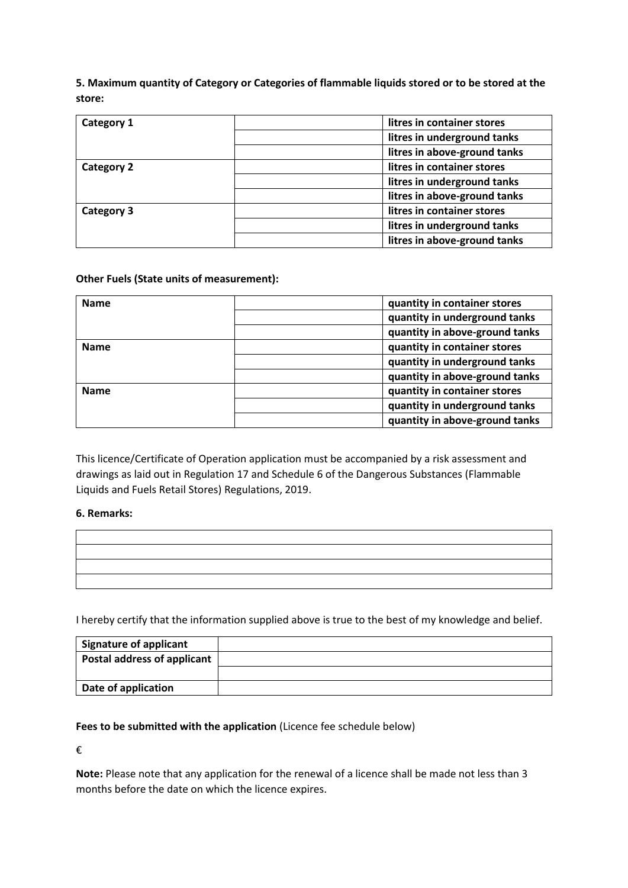**5. Maximum quantity of Category or Categories of flammable liquids stored or to be stored at the store:**

| Category 1        | litres in container stores   |
|-------------------|------------------------------|
|                   | litres in underground tanks  |
|                   | litres in above-ground tanks |
| <b>Category 2</b> | litres in container stores   |
|                   | litres in underground tanks  |
|                   | litres in above-ground tanks |
| Category 3        | litres in container stores   |
|                   | litres in underground tanks  |
|                   | litres in above-ground tanks |

### **Other Fuels (State units of measurement):**

| <b>Name</b> | quantity in container stores   |
|-------------|--------------------------------|
|             | quantity in underground tanks  |
|             | quantity in above-ground tanks |
| <b>Name</b> | quantity in container stores   |
|             | quantity in underground tanks  |
|             | quantity in above-ground tanks |
| <b>Name</b> | quantity in container stores   |
|             | quantity in underground tanks  |
|             | quantity in above-ground tanks |

This licence/Certificate of Operation application must be accompanied by a risk assessment and drawings as laid out in Regulation 17 and Schedule 6 of the Dangerous Substances (Flammable Liquids and Fuels Retail Stores) Regulations, 2019.

### **6. Remarks:**

| the contract of the contract of the contract of the contract of the contract of the contract of the contract of |  |  |
|-----------------------------------------------------------------------------------------------------------------|--|--|
|                                                                                                                 |  |  |

I hereby certify that the information supplied above is true to the best of my knowledge and belief.

| <b>Signature of applicant</b> |  |
|-------------------------------|--|
| Postal address of applicant   |  |
|                               |  |
| Date of application           |  |

### **Fees to be submitted with the application** (Licence fee schedule below)

€

**Note:** Please note that any application for the renewal of a licence shall be made not less than 3 months before the date on which the licence expires.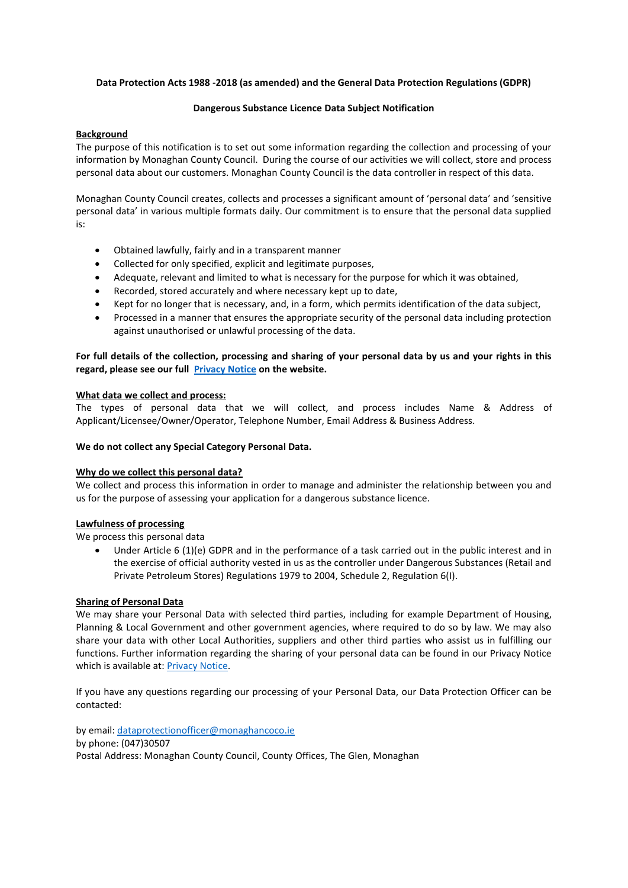#### **Data Protection Acts 1988 -2018 (as amended) and the General Data Protection Regulations (GDPR)**

#### **Dangerous Substance Licence Data Subject Notification**

#### **Background**

The purpose of this notification is to set out some information regarding the collection and processing of your information by Monaghan County Council. During the course of our activities we will collect, store and process personal data about our customers. Monaghan County Council is the data controller in respect of this data.

Monaghan County Council creates, collects and processes a significant amount of 'personal data' and 'sensitive personal data' in various multiple formats daily. Our commitment is to ensure that the personal data supplied is:

- Obtained lawfully, fairly and in a transparent manner
- Collected for only specified, explicit and legitimate purposes,
- Adequate, relevant and limited to what is necessary for the purpose for which it was obtained,
- Recorded, stored accurately and where necessary kept up to date,
- Kept for no longer that is necessary, and, in a form, which permits identification of the data subject,
- Processed in a manner that ensures the appropriate security of the personal data including protection against unauthorised or unlawful processing of the data.

#### **For full details of the collection, processing and sharing of your personal data by us and your rights in this regard, please see our full [Privacy Notice](https://monaghan.ie/privacy-notice/) on the website.**

#### **What data we collect and process:**

The types of personal data that we will collect, and process includes Name & Address of Applicant/Licensee/Owner/Operator, Telephone Number, Email Address & Business Address.

#### **We do not collect any Special Category Personal Data.**

#### **Why do we collect this personal data?**

We collect and process this information in order to manage and administer the relationship between you and us for the purpose of assessing your application for a dangerous substance licence.

#### **Lawfulness of processing**

We process this personal data

Under Article 6 (1)(e) GDPR and in the performance of a task carried out in the public interest and in the exercise of official authority vested in us as the controller under Dangerous Substances (Retail and Private Petroleum Stores) Regulations 1979 to 2004, Schedule 2, Regulation 6(I).

#### **Sharing of Personal Data**

We may share your Personal Data with selected third parties, including for example Department of Housing, Planning & Local Government and other government agencies, where required to do so by law. We may also share your data with other Local Authorities, suppliers and other third parties who assist us in fulfilling our functions. Further information regarding the sharing of your personal data can be found in our Privacy Notice which is available at: [Privacy Notice.](https://monaghan.ie/privacy-notice/)

If you have any questions regarding our processing of your Personal Data, our Data Protection Officer can be contacted:

by email: [dataprotectionofficer@monaghancoco.ie](mailto:dataprotectionofficer@monaghancoco.ie) by phone: (047)30507 Postal Address: Monaghan County Council, County Offices, The Glen, Monaghan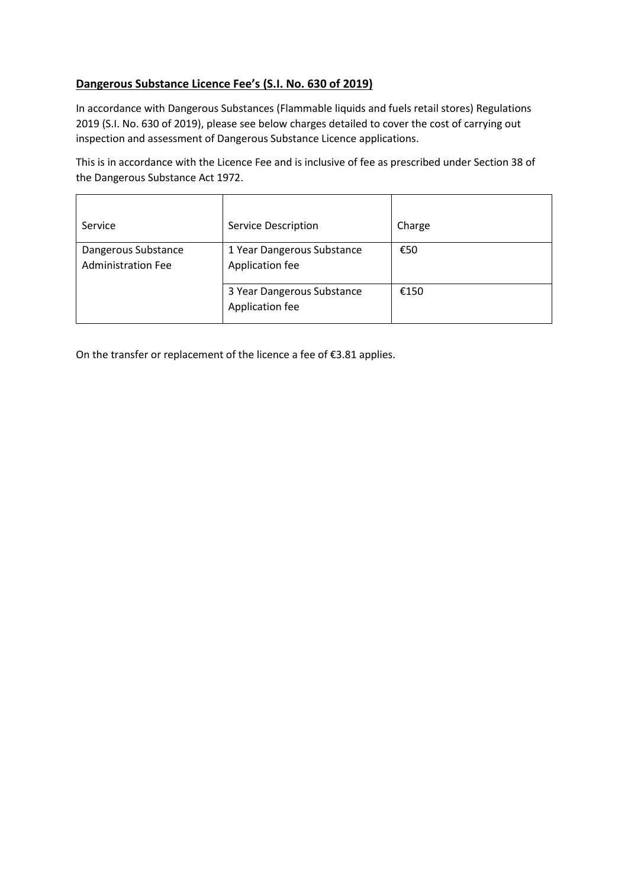# **Dangerous Substance Licence Fee's (S.I. No. 630 of 2019)**

In accordance with Dangerous Substances (Flammable liquids and fuels retail stores) Regulations 2019 (S.I. No. 630 of 2019), please see below charges detailed to cover the cost of carrying out inspection and assessment of Dangerous Substance Licence applications.

This is in accordance with the Licence Fee and is inclusive of fee as prescribed under Section 38 of the Dangerous Substance Act 1972.

| Service                                          | <b>Service Description</b>                    | Charge |
|--------------------------------------------------|-----------------------------------------------|--------|
| Dangerous Substance<br><b>Administration Fee</b> | 1 Year Dangerous Substance<br>Application fee | €50    |
|                                                  | 3 Year Dangerous Substance<br>Application fee | €150   |

On the transfer or replacement of the licence a fee of €3.81 applies.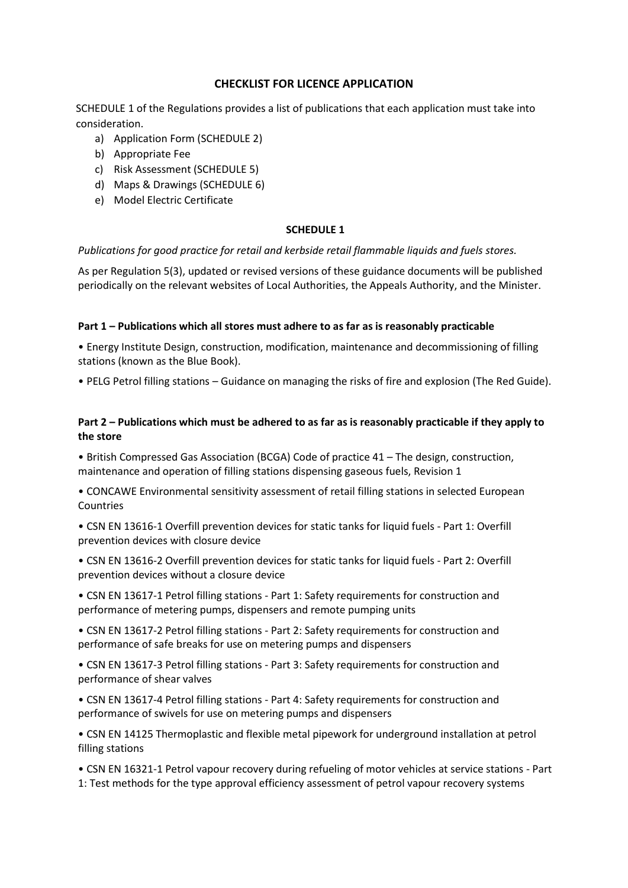## **CHECKLIST FOR LICENCE APPLICATION**

SCHEDULE 1 of the Regulations provides a list of publications that each application must take into consideration.

- a) Application Form (SCHEDULE 2)
- b) Appropriate Fee
- c) Risk Assessment (SCHEDULE 5)
- d) Maps & Drawings (SCHEDULE 6)
- e) Model Electric Certificate

#### **SCHEDULE 1**

*Publications for good practice for retail and kerbside retail flammable liquids and fuels stores.*

As per Regulation 5(3), updated or revised versions of these guidance documents will be published periodically on the relevant websites of Local Authorities, the Appeals Authority, and the Minister.

#### **Part 1 – Publications which all stores must adhere to as far as is reasonably practicable**

• Energy Institute Design, construction, modification, maintenance and decommissioning of filling stations (known as the Blue Book).

• PELG Petrol filling stations – Guidance on managing the risks of fire and explosion (The Red Guide).

### **Part 2 – Publications which must be adhered to as far as is reasonably practicable if they apply to the store**

• British Compressed Gas Association (BCGA) Code of practice 41 – The design, construction, maintenance and operation of filling stations dispensing gaseous fuels, Revision 1

• CONCAWE Environmental sensitivity assessment of retail filling stations in selected European Countries

• CSN EN 13616-1 Overfill prevention devices for static tanks for liquid fuels - Part 1: Overfill prevention devices with closure device

• CSN EN 13616-2 Overfill prevention devices for static tanks for liquid fuels - Part 2: Overfill prevention devices without a closure device

• CSN EN 13617-1 Petrol filling stations - Part 1: Safety requirements for construction and performance of metering pumps, dispensers and remote pumping units

• CSN EN 13617-2 Petrol filling stations - Part 2: Safety requirements for construction and performance of safe breaks for use on metering pumps and dispensers

• CSN EN 13617-3 Petrol filling stations - Part 3: Safety requirements for construction and performance of shear valves

• CSN EN 13617-4 Petrol filling stations - Part 4: Safety requirements for construction and performance of swivels for use on metering pumps and dispensers

• CSN EN 14125 Thermoplastic and flexible metal pipework for underground installation at petrol filling stations

• CSN EN 16321-1 Petrol vapour recovery during refueling of motor vehicles at service stations - Part 1: Test methods for the type approval efficiency assessment of petrol vapour recovery systems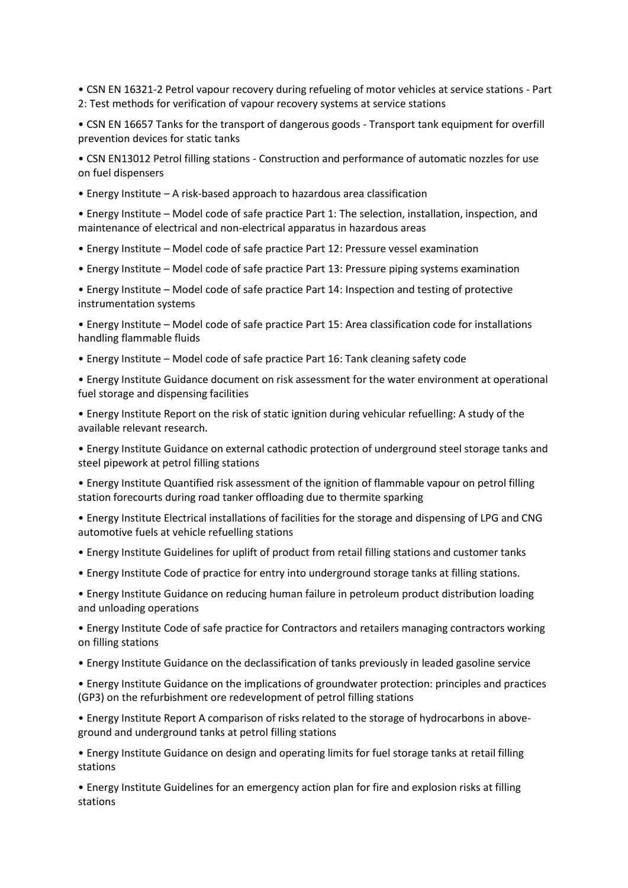• CSN EN 16321-2 Petrol vapour recovery during refueling of motor vehicles at service stations - Part 2: Test methods for verification of vapour recovery systems at service stations

• CSN EN 16657 Tanks for the transport of dangerous goods - Transport tank equipment for overfill prevention devices for static tanks

• CSN EN13012 Petrol filling stations - Construction and performance of automatic nozzles for use on fuel dispensers

• Energy Institute – A risk-based approach to hazardous area classification

• Energy Institute – Model code of safe practice Part 1: The selection, installation, inspection, and maintenance of electrical and non-electrical apparatus in hazardous areas

• Energy Institute – Model code of safe practice Part 12: Pressure vessel examination

• Energy Institute – Model code of safe practice Part 13: Pressure piping systems examination

• Energy Institute – Model code of safe practice Part 14: Inspection and testing of protective instrumentation systems

• Energy Institute – Model code of safe practice Part 15: Area classification code for installations handling flammable fluids

• Energy Institute – Model code of safe practice Part 16: Tank cleaning safety code

• Energy Institute Guidance document on risk assessment for the water environment at operational fuel storage and dispensing facilities

• Energy Institute Report on the risk of static ignition during vehicular refuelling: A study of the available relevant research.

• Energy Institute Guidance on external cathodic protection of underground steel storage tanks and steel pipework at petrol filling stations

• Energy Institute Quantified risk assessment of the ignition of flammable vapour on petrol filling station forecourts during road tanker offloading due to thermite sparking

• Energy Institute Electrical installations of facilities for the storage and dispensing of LPG and CNG automotive fuels at vehicle refuelling stations

- Energy Institute Guidelines for uplift of product from retail filling stations and customer tanks
- Energy Institute Code of practice for entry into underground storage tanks at filling stations.

• Energy Institute Guidance on reducing human failure in petroleum product distribution loading and unloading operations

• Energy Institute Code of safe practice for Contractors and retailers managing contractors working on filling stations

• Energy Institute Guidance on the declassification of tanks previously in leaded gasoline service

• Energy Institute Guidance on the implications of groundwater protection: principles and practices (GP3) on the refurbishment ore redevelopment of petrol filling stations

• Energy Institute Report A comparison of risks related to the storage of hydrocarbons in aboveground and underground tanks at petrol filling stations

• Energy Institute Guidance on design and operating limits for fuel storage tanks at retail filling stations

• Energy Institute Guidelines for an emergency action plan for fire and explosion risks at filling stations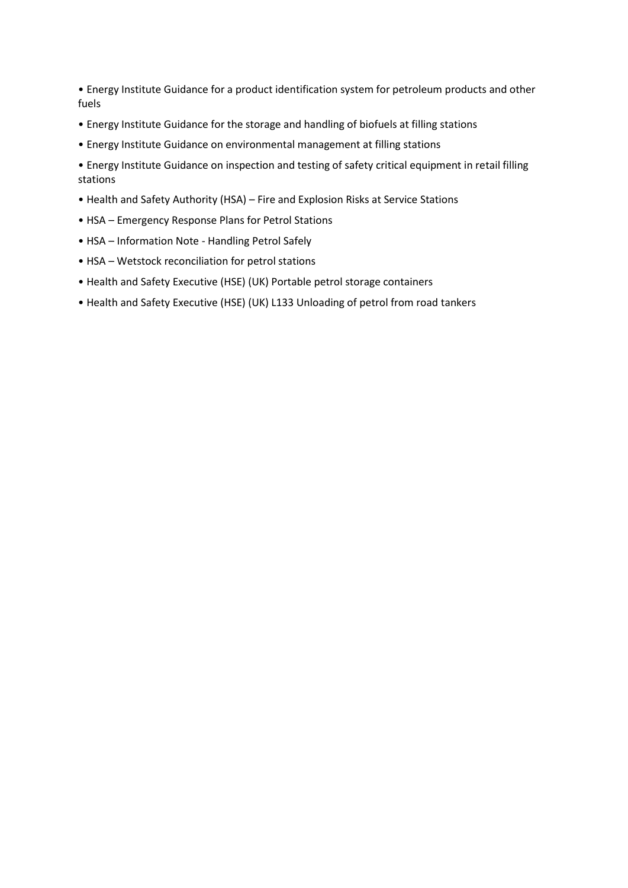• Energy Institute Guidance for a product identification system for petroleum products and other fuels

- Energy Institute Guidance for the storage and handling of biofuels at filling stations
- Energy Institute Guidance on environmental management at filling stations
- Energy Institute Guidance on inspection and testing of safety critical equipment in retail filling stations
- Health and Safety Authority (HSA) Fire and Explosion Risks at Service Stations
- HSA Emergency Response Plans for Petrol Stations
- HSA Information Note Handling Petrol Safely
- HSA Wetstock reconciliation for petrol stations
- Health and Safety Executive (HSE) (UK) Portable petrol storage containers
- Health and Safety Executive (HSE) (UK) L133 Unloading of petrol from road tankers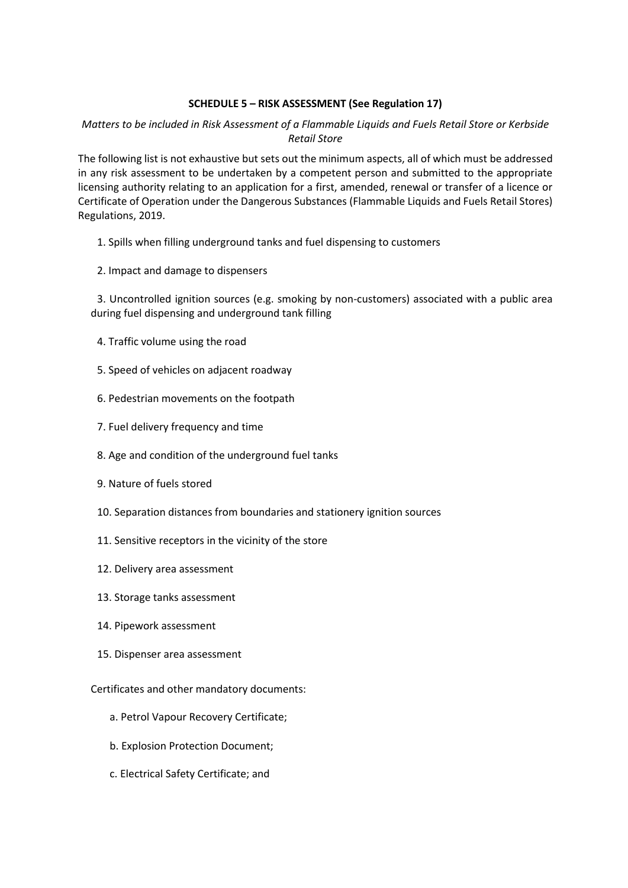### **SCHEDULE 5 – RISK ASSESSMENT (See Regulation 17)**

# *Matters to be included in Risk Assessment of a Flammable Liquids and Fuels Retail Store or Kerbside Retail Store*

The following list is not exhaustive but sets out the minimum aspects, all of which must be addressed in any risk assessment to be undertaken by a competent person and submitted to the appropriate licensing authority relating to an application for a first, amended, renewal or transfer of a licence or Certificate of Operation under the Dangerous Substances (Flammable Liquids and Fuels Retail Stores) Regulations, 2019.

- 1. Spills when filling underground tanks and fuel dispensing to customers
- 2. Impact and damage to dispensers

3. Uncontrolled ignition sources (e.g. smoking by non-customers) associated with a public area during fuel dispensing and underground tank filling

- 4. Traffic volume using the road
- 5. Speed of vehicles on adjacent roadway
- 6. Pedestrian movements on the footpath
- 7. Fuel delivery frequency and time
- 8. Age and condition of the underground fuel tanks
- 9. Nature of fuels stored
- 10. Separation distances from boundaries and stationery ignition sources
- 11. Sensitive receptors in the vicinity of the store
- 12. Delivery area assessment
- 13. Storage tanks assessment
- 14. Pipework assessment
- 15. Dispenser area assessment

Certificates and other mandatory documents:

- a. Petrol Vapour Recovery Certificate;
- b. Explosion Protection Document;
- c. Electrical Safety Certificate; and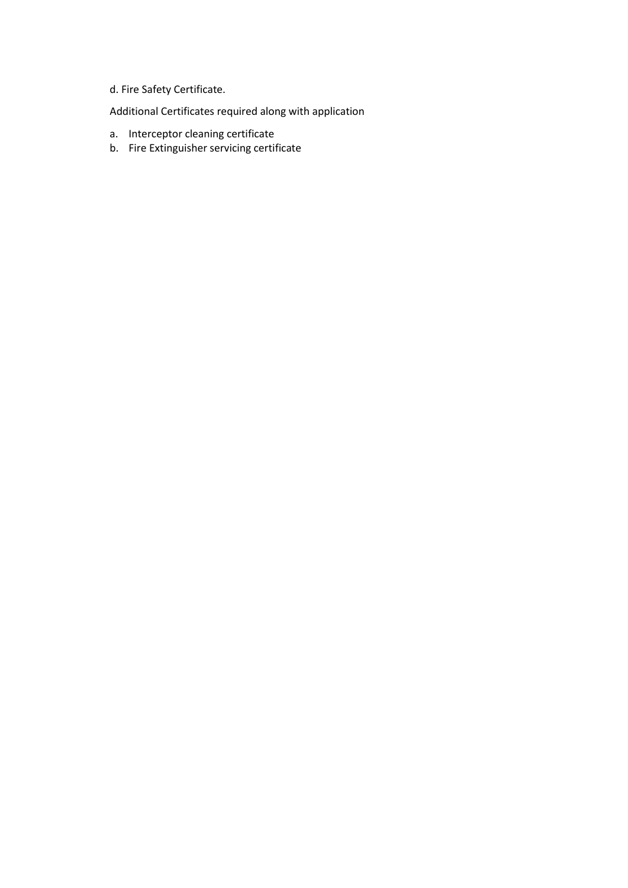# d. Fire Safety Certificate.

Additional Certificates required along with application

- a. Interceptor cleaning certificate
- b. Fire Extinguisher servicing certificate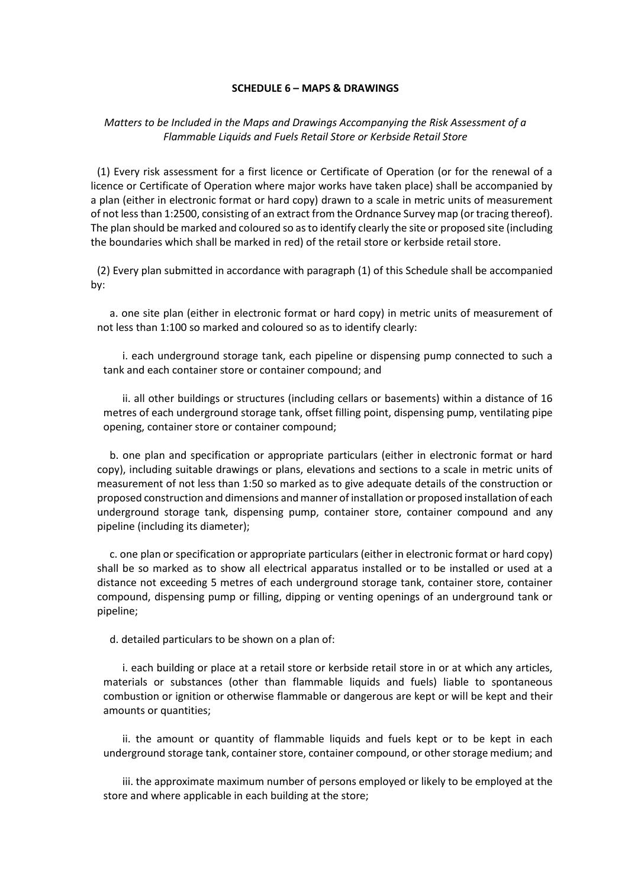#### **SCHEDULE 6 – MAPS & DRAWINGS**

### *Matters to be Included in the Maps and Drawings Accompanying the Risk Assessment of a Flammable Liquids and Fuels Retail Store or Kerbside Retail Store*

(1) Every risk assessment for a first licence or Certificate of Operation (or for the renewal of a licence or Certificate of Operation where major works have taken place) shall be accompanied by a plan (either in electronic format or hard copy) drawn to a scale in metric units of measurement of not less than 1:2500, consisting of an extract from the Ordnance Survey map (or tracing thereof). The plan should be marked and coloured so as to identify clearly the site or proposed site (including the boundaries which shall be marked in red) of the retail store or kerbside retail store.

(2) Every plan submitted in accordance with paragraph (1) of this Schedule shall be accompanied by:

a. one site plan (either in electronic format or hard copy) in metric units of measurement of not less than 1:100 so marked and coloured so as to identify clearly:

i. each underground storage tank, each pipeline or dispensing pump connected to such a tank and each container store or container compound; and

ii. all other buildings or structures (including cellars or basements) within a distance of 16 metres of each underground storage tank, offset filling point, dispensing pump, ventilating pipe opening, container store or container compound;

b. one plan and specification or appropriate particulars (either in electronic format or hard copy), including suitable drawings or plans, elevations and sections to a scale in metric units of measurement of not less than 1:50 so marked as to give adequate details of the construction or proposed construction and dimensions and manner of installation or proposed installation of each underground storage tank, dispensing pump, container store, container compound and any pipeline (including its diameter);

c. one plan or specification or appropriate particulars (either in electronic format or hard copy) shall be so marked as to show all electrical apparatus installed or to be installed or used at a distance not exceeding 5 metres of each underground storage tank, container store, container compound, dispensing pump or filling, dipping or venting openings of an underground tank or pipeline;

d. detailed particulars to be shown on a plan of:

i. each building or place at a retail store or kerbside retail store in or at which any articles, materials or substances (other than flammable liquids and fuels) liable to spontaneous combustion or ignition or otherwise flammable or dangerous are kept or will be kept and their amounts or quantities;

ii. the amount or quantity of flammable liquids and fuels kept or to be kept in each underground storage tank, container store, container compound, or other storage medium; and

iii. the approximate maximum number of persons employed or likely to be employed at the store and where applicable in each building at the store;